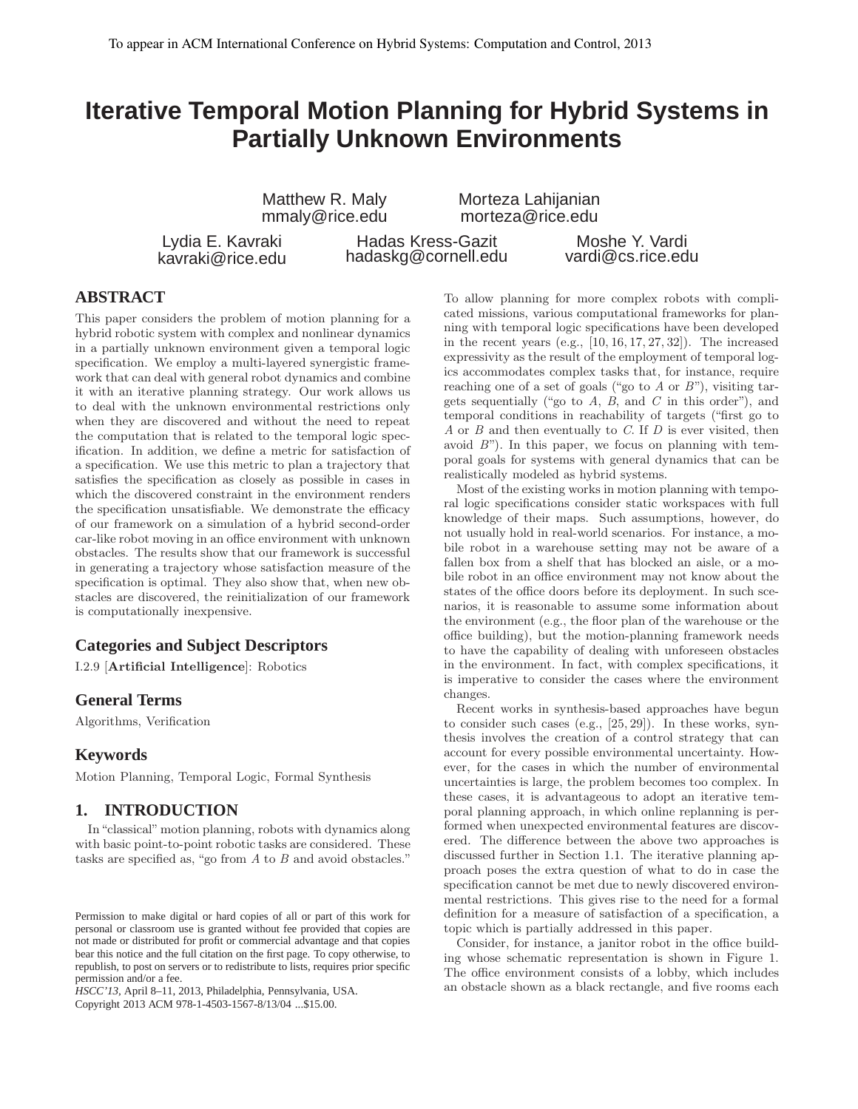# **Iterative Temporal Motion Planning for Hybrid Systems in Partially Unknown Environments**

Matthew R. Maly mmaly@rice.edu Morteza Lahijanian morteza@rice.edu

Lydia E. Kavraki kavraki@rice.edu

Hadas Kress-Gazit hadaskg@cornell.edu

Moshe Y. Vardi vardi@cs.rice.edu

# **ABSTRACT**

This paper considers the problem of motion planning for a hybrid robotic system with complex and nonlinear dynamics in a partially unknown environment given a temporal logic specification. We employ a multi-layered synergistic framework that can deal with general robot dynamics and combine it with an iterative planning strategy. Our work allows us to deal with the unknown environmental restrictions only when they are discovered and without the need to repeat the computation that is related to the temporal logic specification. In addition, we define a metric for satisfaction of a specification. We use this metric to plan a trajectory that satisfies the specification as closely as possible in cases in which the discovered constraint in the environment renders the specification unsatisfiable. We demonstrate the efficacy of our framework on a simulation of a hybrid second-order car-like robot moving in an office environment with unknown obstacles. The results show that our framework is successful in generating a trajectory whose satisfaction measure of the specification is optimal. They also show that, when new obstacles are discovered, the reinitialization of our framework is computationally inexpensive.

# **Categories and Subject Descriptors**

I.2.9 [Artificial Intelligence]: Robotics

# **General Terms**

Algorithms, Verification

# **Keywords**

Motion Planning, Temporal Logic, Formal Synthesis

# **1. INTRODUCTION**

In"classical" motion planning, robots with dynamics along with basic point-to-point robotic tasks are considered. These tasks are specified as, "go from A to B and avoid obstacles."

*HSCC'13,* April 8–11, 2013, Philadelphia, Pennsylvania, USA. Copyright 2013 ACM 978-1-4503-1567-8/13/04 ...\$15.00.

To allow planning for more complex robots with complicated missions, various computational frameworks for planning with temporal logic specifications have been developed in the recent years (e.g.,  $[10, 16, 17, 27, 32]$ ). The increased expressivity as the result of the employment of temporal logics accommodates complex tasks that, for instance, require reaching one of a set of goals ("go to  $A$  or  $B$ "), visiting targets sequentially ("go to  $A$ ,  $B$ , and  $C$  in this order"), and temporal conditions in reachability of targets ("first go to  $A$  or  $B$  and then eventually to  $C$ . If  $D$  is ever visited, then avoid  $B$ "). In this paper, we focus on planning with temporal goals for systems with general dynamics that can be realistically modeled as hybrid systems.

Most of the existing works in motion planning with temporal logic specifications consider static workspaces with full knowledge of their maps. Such assumptions, however, do not usually hold in real-world scenarios. For instance, a mobile robot in a warehouse setting may not be aware of a fallen box from a shelf that has blocked an aisle, or a mobile robot in an office environment may not know about the states of the office doors before its deployment. In such scenarios, it is reasonable to assume some information about the environment (e.g., the floor plan of the warehouse or the office building), but the motion-planning framework needs to have the capability of dealing with unforeseen obstacles in the environment. In fact, with complex specifications, it is imperative to consider the cases where the environment changes.

Recent works in synthesis-based approaches have begun to consider such cases (e.g., [25, 29]). In these works, synthesis involves the creation of a control strategy that can account for every possible environmental uncertainty. However, for the cases in which the number of environmental uncertainties is large, the problem becomes too complex. In these cases, it is advantageous to adopt an iterative temporal planning approach, in which online replanning is performed when unexpected environmental features are discovered. The difference between the above two approaches is discussed further in Section 1.1. The iterative planning approach poses the extra question of what to do in case the specification cannot be met due to newly discovered environmental restrictions. This gives rise to the need for a formal definition for a measure of satisfaction of a specification, a topic which is partially addressed in this paper.

Consider, for instance, a janitor robot in the office building whose schematic representation is shown in Figure 1. The office environment consists of a lobby, which includes an obstacle shown as a black rectangle, and five rooms each

Permission to make digital or hard copies of all or part of this work for personal or classroom use is granted without fee provided that copies are not made or distributed for profit or commercial advantage and that copies bear this notice and the full citation on the first page. To copy otherwise, to republish, to post on servers or to redistribute to lists, requires prior specific permission and/or a fee.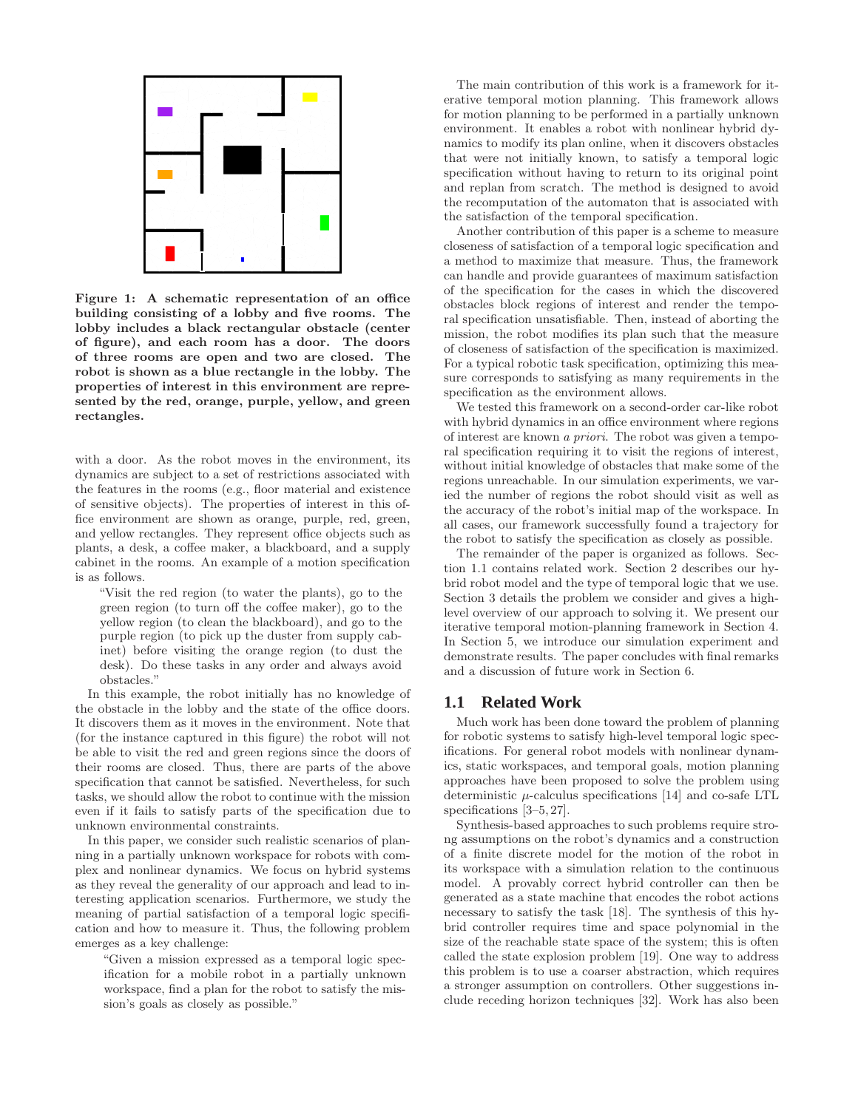

Figure 1: A schematic representation of an office building consisting of a lobby and five rooms. The lobby includes a black rectangular obstacle (center of figure), and each room has a door. The doors of three rooms are open and two are closed. The robot is shown as a blue rectangle in the lobby. The properties of interest in this environment are represented by the red, orange, purple, yellow, and green rectangles.

with a door. As the robot moves in the environment, its dynamics are subject to a set of restrictions associated with the features in the rooms (e.g., floor material and existence of sensitive objects). The properties of interest in this office environment are shown as orange, purple, red, green, and yellow rectangles. They represent office objects such as plants, a desk, a coffee maker, a blackboard, and a supply cabinet in the rooms. An example of a motion specification is as follows.

"Visit the red region (to water the plants), go to the green region (to turn off the coffee maker), go to the yellow region (to clean the blackboard), and go to the purple region (to pick up the duster from supply cabinet) before visiting the orange region (to dust the desk). Do these tasks in any order and always avoid obstacles."

In this example, the robot initially has no knowledge of the obstacle in the lobby and the state of the office doors. It discovers them as it moves in the environment. Note that (for the instance captured in this figure) the robot will not be able to visit the red and green regions since the doors of their rooms are closed. Thus, there are parts of the above specification that cannot be satisfied. Nevertheless, for such tasks, we should allow the robot to continue with the mission even if it fails to satisfy parts of the specification due to unknown environmental constraints.

In this paper, we consider such realistic scenarios of planning in a partially unknown workspace for robots with complex and nonlinear dynamics. We focus on hybrid systems as they reveal the generality of our approach and lead to interesting application scenarios. Furthermore, we study the meaning of partial satisfaction of a temporal logic specification and how to measure it. Thus, the following problem emerges as a key challenge:

"Given a mission expressed as a temporal logic specification for a mobile robot in a partially unknown workspace, find a plan for the robot to satisfy the mission's goals as closely as possible."

The main contribution of this work is a framework for iterative temporal motion planning. This framework allows for motion planning to be performed in a partially unknown environment. It enables a robot with nonlinear hybrid dynamics to modify its plan online, when it discovers obstacles that were not initially known, to satisfy a temporal logic specification without having to return to its original point and replan from scratch. The method is designed to avoid the recomputation of the automaton that is associated with the satisfaction of the temporal specification.

Another contribution of this paper is a scheme to measure closeness of satisfaction of a temporal logic specification and a method to maximize that measure. Thus, the framework can handle and provide guarantees of maximum satisfaction of the specification for the cases in which the discovered obstacles block regions of interest and render the temporal specification unsatisfiable. Then, instead of aborting the mission, the robot modifies its plan such that the measure of closeness of satisfaction of the specification is maximized. For a typical robotic task specification, optimizing this measure corresponds to satisfying as many requirements in the specification as the environment allows.

We tested this framework on a second-order car-like robot with hybrid dynamics in an office environment where regions of interest are known a priori. The robot was given a temporal specification requiring it to visit the regions of interest, without initial knowledge of obstacles that make some of the regions unreachable. In our simulation experiments, we varied the number of regions the robot should visit as well as the accuracy of the robot's initial map of the workspace. In all cases, our framework successfully found a trajectory for the robot to satisfy the specification as closely as possible.

The remainder of the paper is organized as follows. Section 1.1 contains related work. Section 2 describes our hybrid robot model and the type of temporal logic that we use. Section 3 details the problem we consider and gives a highlevel overview of our approach to solving it. We present our iterative temporal motion-planning framework in Section 4. In Section 5, we introduce our simulation experiment and demonstrate results. The paper concludes with final remarks and a discussion of future work in Section 6.

## **1.1 Related Work**

Much work has been done toward the problem of planning for robotic systems to satisfy high-level temporal logic specifications. For general robot models with nonlinear dynamics, static workspaces, and temporal goals, motion planning approaches have been proposed to solve the problem using deterministic  $\mu$ -calculus specifications [14] and co-safe LTL specifications  $[3-5, 27]$ .

Synthesis-based approaches to such problems require strong assumptions on the robot's dynamics and a construction of a finite discrete model for the motion of the robot in its workspace with a simulation relation to the continuous model. A provably correct hybrid controller can then be generated as a state machine that encodes the robot actions necessary to satisfy the task [18]. The synthesis of this hybrid controller requires time and space polynomial in the size of the reachable state space of the system; this is often called the state explosion problem [19]. One way to address this problem is to use a coarser abstraction, which requires a stronger assumption on controllers. Other suggestions include receding horizon techniques [32]. Work has also been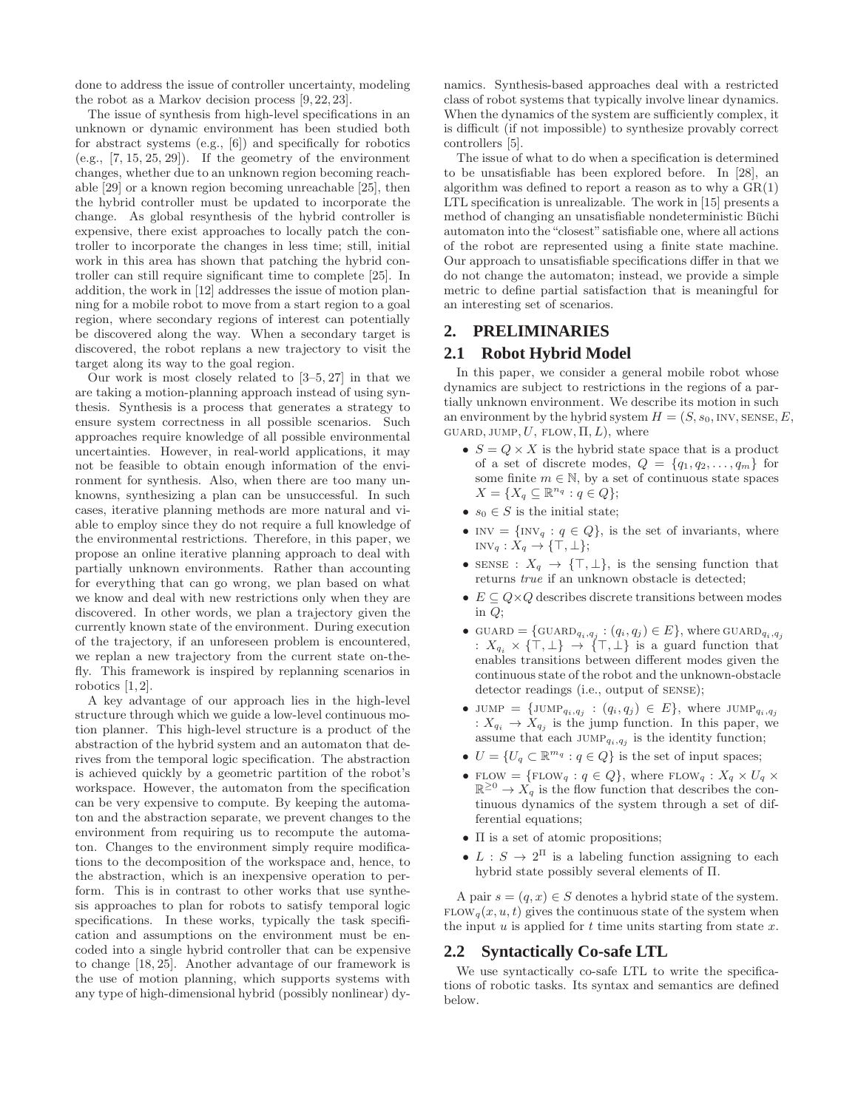done to address the issue of controller uncertainty, modeling the robot as a Markov decision process [9, 22, 23].

The issue of synthesis from high-level specifications in an unknown or dynamic environment has been studied both for abstract systems (e.g., [6]) and specifically for robotics  $(e.g., [7, 15, 25, 29])$ . If the geometry of the environment changes, whether due to an unknown region becoming reachable [29] or a known region becoming unreachable [25], then the hybrid controller must be updated to incorporate the change. As global resynthesis of the hybrid controller is expensive, there exist approaches to locally patch the controller to incorporate the changes in less time; still, initial work in this area has shown that patching the hybrid controller can still require significant time to complete [25]. In addition, the work in [12] addresses the issue of motion planning for a mobile robot to move from a start region to a goal region, where secondary regions of interest can potentially be discovered along the way. When a secondary target is discovered, the robot replans a new trajectory to visit the target along its way to the goal region.

Our work is most closely related to [3–5, 27] in that we are taking a motion-planning approach instead of using synthesis. Synthesis is a process that generates a strategy to ensure system correctness in all possible scenarios. Such approaches require knowledge of all possible environmental uncertainties. However, in real-world applications, it may not be feasible to obtain enough information of the environment for synthesis. Also, when there are too many unknowns, synthesizing a plan can be unsuccessful. In such cases, iterative planning methods are more natural and viable to employ since they do not require a full knowledge of the environmental restrictions. Therefore, in this paper, we propose an online iterative planning approach to deal with partially unknown environments. Rather than accounting for everything that can go wrong, we plan based on what we know and deal with new restrictions only when they are discovered. In other words, we plan a trajectory given the currently known state of the environment. During execution of the trajectory, if an unforeseen problem is encountered, we replan a new trajectory from the current state on-thefly. This framework is inspired by replanning scenarios in robotics  $[1, 2]$ .

A key advantage of our approach lies in the high-level structure through which we guide a low-level continuous motion planner. This high-level structure is a product of the abstraction of the hybrid system and an automaton that derives from the temporal logic specification. The abstraction is achieved quickly by a geometric partition of the robot's workspace. However, the automaton from the specification can be very expensive to compute. By keeping the automaton and the abstraction separate, we prevent changes to the environment from requiring us to recompute the automaton. Changes to the environment simply require modifications to the decomposition of the workspace and, hence, to the abstraction, which is an inexpensive operation to perform. This is in contrast to other works that use synthesis approaches to plan for robots to satisfy temporal logic specifications. In these works, typically the task specification and assumptions on the environment must be encoded into a single hybrid controller that can be expensive to change [18, 25]. Another advantage of our framework is the use of motion planning, which supports systems with any type of high-dimensional hybrid (possibly nonlinear) dynamics. Synthesis-based approaches deal with a restricted class of robot systems that typically involve linear dynamics. When the dynamics of the system are sufficiently complex, it is difficult (if not impossible) to synthesize provably correct controllers [5].

The issue of what to do when a specification is determined to be unsatisfiable has been explored before. In [28], an algorithm was defined to report a reason as to why a  $GR(1)$ LTL specification is unrealizable. The work in [15] presents a method of changing an unsatisfiable nondeterministic Büchi automaton into the "closest" satisfiable one, where all actions of the robot are represented using a finite state machine. Our approach to unsatisfiable specifications differ in that we do not change the automaton; instead, we provide a simple metric to define partial satisfaction that is meaningful for an interesting set of scenarios.

# **2. PRELIMINARIES**

# **2.1 Robot Hybrid Model**

In this paper, we consider a general mobile robot whose dynamics are subject to restrictions in the regions of a partially unknown environment. We describe its motion in such an environment by the hybrid system  $H = (S, s_0, \text{INV}, \text{SENSE}, E,$ GUARD, JUMP,  $U$ , FLOW,  $\Pi, L$ ), where

- $S = Q \times X$  is the hybrid state space that is a product of a set of discrete modes,  $Q = \{q_1, q_2, \ldots, q_m\}$  for some finite  $m \in \mathbb{N}$ , by a set of continuous state spaces  $X = \{X_q \subseteq \mathbb{R}^{n_q} : q \in Q\};$
- $s_0 \in S$  is the initial state;
- INV =  $\{INV_q : q \in Q\}$ , is the set of invariants, where  $inv_q : X_q \to {\top, \bot};$
- SENSE :  $X_q \rightarrow \{\top, \bot\}$ , is the sensing function that returns true if an unknown obstacle is detected;
- $E \subseteq Q \times Q$  describes discrete transitions between modes in  $Q$ ;
- GUARD =  $\{\text{GUARD}_{q_i,q_j} : (q_i,q_j) \in E\}$ , where GUARD $_{q_i,q_j}$ :  $X_{q_i} \times {\{\top, \bot\}} \to {\{\top, \bot\}}$  is a guard function that enables transitions between different modes given the continuous state of the robot and the unknown-obstacle detector readings (i.e., output of sense);
- JUMP =  $\{\text{JUMP}_{q_i,q_j} : (q_i, q_j) \in E\}$ , where JUMP $_{q_i,q_j}$ :  $X_{q_i} \to X_{q_j}$  is the jump function. In this paper, we assume that each  $JUMP_{q_i,q_j}$  is the identity function;
- $U = \{U_q \subset \mathbb{R}^{m_q} : q \in Q\}$  is the set of input spaces;
- FLOW = {FLOW<sub>q</sub> :  $q \in Q$ }, where FLOW<sub>q</sub> :  $X_q \times U_q \times$  $\mathbb{R}^{\geq 0} \to X_q$  is the flow function that describes the continuous dynamics of the system through a set of differential equations;
- Π is a set of atomic propositions;
- $L : S \to 2^{\Pi}$  is a labeling function assigning to each hybrid state possibly several elements of Π.

A pair  $s = (q, x) \in S$  denotes a hybrid state of the system.  $FLOW_a(x, u, t)$  gives the continuous state of the system when the input u is applied for t time units starting from state  $x$ .

## **2.2 Syntactically Co-safe LTL**

We use syntactically co-safe LTL to write the specifications of robotic tasks. Its syntax and semantics are defined below.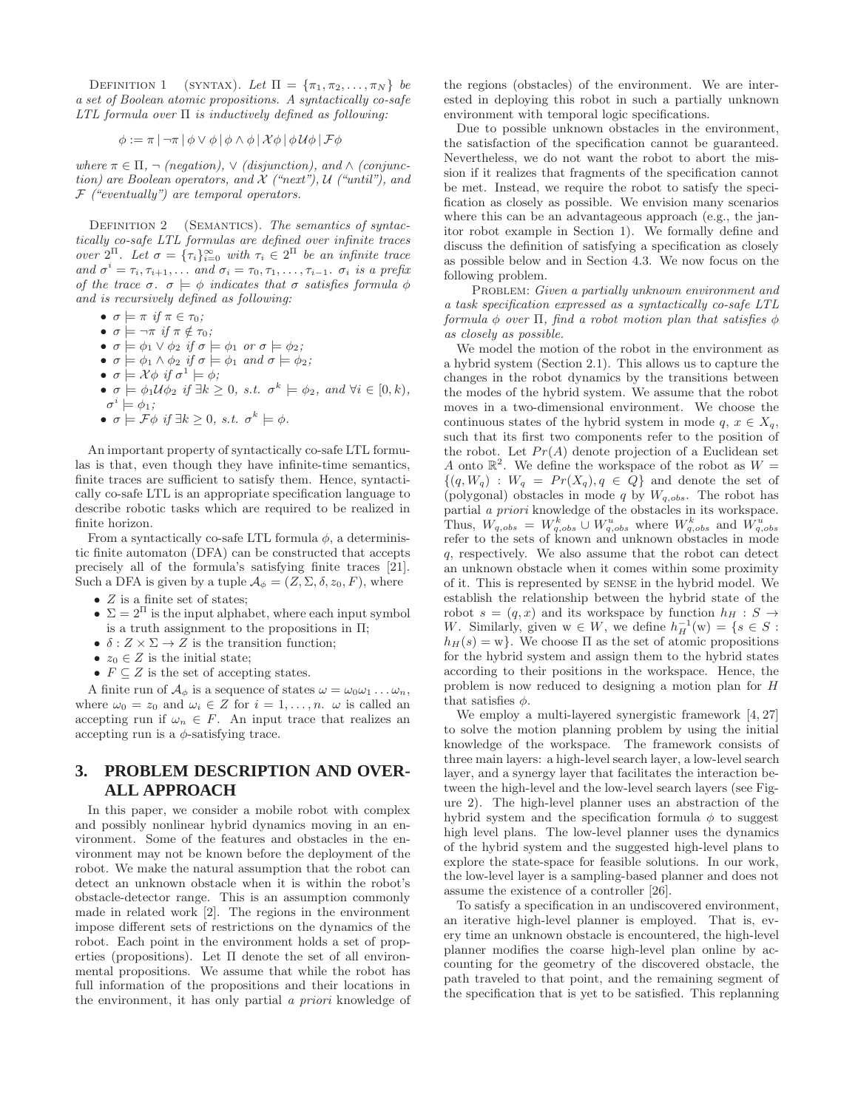DEFINITION 1 (SYNTAX). Let  $\Pi = {\pi_1, \pi_2, \ldots, \pi_N}$  be a set of Boolean atomic propositions. A syntactically co-safe LTL formula over  $\Pi$  is inductively defined as following:

$$
\phi := \pi \left| \left. \neg \pi \right| \phi \vee \phi \left| \phi \wedge \phi \right| \mathcal{X} \phi \left| \phi \mathcal{U} \phi \right| \mathcal{F} \phi
$$

where  $\pi \in \Pi$ ,  $\neg$  (negation),  $\vee$  (disjunction), and  $\wedge$  (conjunction) are Boolean operators, and  $\mathcal X$  ("next"),  $\mathcal U$  ("until"), and  $F$  ("eventually") are temporal operators.

DEFINITION 2 (SEMANTICS). The semantics of syntactically co-safe LTL formulas are defined over infinite traces over  $2^{\Pi}$ . Let  $\sigma = {\{\tau_i\}}_{i=0}^{\infty}$  with  $\tau_i \in 2^{\Pi}$  be an infinite trace and  $\sigma^i = \tau_i, \tau_{i+1}, \ldots$  and  $\sigma_i = \tau_0, \tau_1, \ldots, \tau_{i-1}$ .  $\sigma_i$  is a prefix of the trace  $\sigma$ .  $\sigma \models \phi$  indicates that  $\sigma$  satisfies formula  $\phi$ and is recursively defined as following:

- $\sigma \models \pi \text{ if } \pi \in \tau_0;$
- $\sigma \models \neg \pi \text{ if } \pi \notin \tau_0;$
- $\sigma \models \phi_1 \vee \phi_2$  if  $\sigma \models \phi_1$  or  $\sigma \models \phi_2$ ;
- $\sigma \models \phi_1 \land \phi_2$  if  $\sigma \models \phi_1$  and  $\sigma \models \phi_2$ ;
- $\sigma \models \mathcal{X} \phi \text{ if } \sigma^1 \models \phi;$
- $\sigma \models \phi_1 \mathcal{U} \phi_2$  if  $\exists k \geq 0$ , s.t.  $\sigma^k \models \phi_2$ , and  $\forall i \in [0, k)$ ,  $\sigma^i \models \phi_1;$
- $\sigma \models \mathcal{F}\phi \text{ if } \exists k \geq 0, \text{ s.t. } \sigma^k \models \phi.$

An important property of syntactically co-safe LTL formulas is that, even though they have infinite-time semantics, finite traces are sufficient to satisfy them. Hence, syntactically co-safe LTL is an appropriate specification language to describe robotic tasks which are required to be realized in finite horizon.

From a syntactically co-safe LTL formula  $\phi$ , a deterministic finite automaton (DFA) can be constructed that accepts precisely all of the formula's satisfying finite traces [21]. Such a DFA is given by a tuple  $\mathcal{A}_{\phi} = (Z, \Sigma, \delta, z_0, F)$ , where

- $Z$  is a finite set of states;
- $\Sigma = 2^{\Pi}$  is the input alphabet, where each input symbol is a truth assignment to the propositions in  $\Pi$ ;
- $\delta: Z \times \Sigma \rightarrow Z$  is the transition function;
- $z_0 \in Z$  is the initial state;
- $F \subseteq Z$  is the set of accepting states.

A finite run of  $\mathcal{A}_{\phi}$  is a sequence of states  $\omega = \omega_0 \omega_1 \dots \omega_n$ , where  $\omega_0 = z_0$  and  $\omega_i \in Z$  for  $i = 1, \ldots, n$ .  $\omega$  is called an accepting run if  $\omega_n \in F$ . An input trace that realizes an accepting run is a  $\phi$ -satisfying trace.

# **3. PROBLEM DESCRIPTION AND OVER-ALL APPROACH**

In this paper, we consider a mobile robot with complex and possibly nonlinear hybrid dynamics moving in an environment. Some of the features and obstacles in the environment may not be known before the deployment of the robot. We make the natural assumption that the robot can detect an unknown obstacle when it is within the robot's obstacle-detector range. This is an assumption commonly made in related work [2]. The regions in the environment impose different sets of restrictions on the dynamics of the robot. Each point in the environment holds a set of properties (propositions). Let  $\Pi$  denote the set of all environmental propositions. We assume that while the robot has full information of the propositions and their locations in the environment, it has only partial a priori knowledge of the regions (obstacles) of the environment. We are interested in deploying this robot in such a partially unknown environment with temporal logic specifications.

Due to possible unknown obstacles in the environment, the satisfaction of the specification cannot be guaranteed. Nevertheless, we do not want the robot to abort the mission if it realizes that fragments of the specification cannot be met. Instead, we require the robot to satisfy the specification as closely as possible. We envision many scenarios where this can be an advantageous approach (e.g., the janitor robot example in Section 1). We formally define and discuss the definition of satisfying a specification as closely as possible below and in Section 4.3. We now focus on the following problem.

PROBLEM: Given a partially unknown environment and a task specification expressed as a syntactically co-safe LTL formula  $\phi$  over  $\Pi$ , find a robot motion plan that satisfies  $\phi$ as closely as possible.

We model the motion of the robot in the environment as a hybrid system (Section 2.1). This allows us to capture the changes in the robot dynamics by the transitions between the modes of the hybrid system. We assume that the robot moves in a two-dimensional environment. We choose the continuous states of the hybrid system in mode  $q, x \in X_q$ , such that its first two components refer to the position of the robot. Let  $Pr(A)$  denote projection of a Euclidean set A onto  $\mathbb{R}^2$ . We define the workspace of the robot as  $W =$  $\{(q, W_q) : W_q = Pr(X_q), q \in Q\}$  and denote the set of (polygonal) obstacles in mode  $q$  by  $W_{q,obs}$ . The robot has partial a priori knowledge of the obstacles in its workspace. Thus,  $W_{q,obs} = W_{q,obs}^k \cup W_{q,obs}^u$  where  $W_{q,obs}^k$  and  $W_{q,obs}^u$ <br>refer to the sets of known and unknown obstacles in mode q, respectively. We also assume that the robot can detect an unknown obstacle when it comes within some proximity of it. This is represented by sense in the hybrid model. We establish the relationship between the hybrid state of the robot  $s = (q, x)$  and its workspace by function  $h_H : S \rightarrow$ W. Similarly, given  $w \in W$ , we define  $h_H^{-1}(w) = \{s \in S :$  $h_H(s) = w$ . We choose  $\Pi$  as the set of atomic propositions for the hybrid system and assign them to the hybrid states according to their positions in the workspace. Hence, the problem is now reduced to designing a motion plan for H that satisfies  $\phi$ .

We employ a multi-layered synergistic framework [4, 27] to solve the motion planning problem by using the initial knowledge of the workspace. The framework consists of three main layers: a high-level search layer, a low-level search layer, and a synergy layer that facilitates the interaction between the high-level and the low-level search layers (see Figure 2). The high-level planner uses an abstraction of the hybrid system and the specification formula  $\phi$  to suggest high level plans. The low-level planner uses the dynamics of the hybrid system and the suggested high-level plans to explore the state-space for feasible solutions. In our work, the low-level layer is a sampling-based planner and does not assume the existence of a controller [26].

To satisfy a specification in an undiscovered environment, an iterative high-level planner is employed. That is, every time an unknown obstacle is encountered, the high-level planner modifies the coarse high-level plan online by accounting for the geometry of the discovered obstacle, the path traveled to that point, and the remaining segment of the specification that is yet to be satisfied. This replanning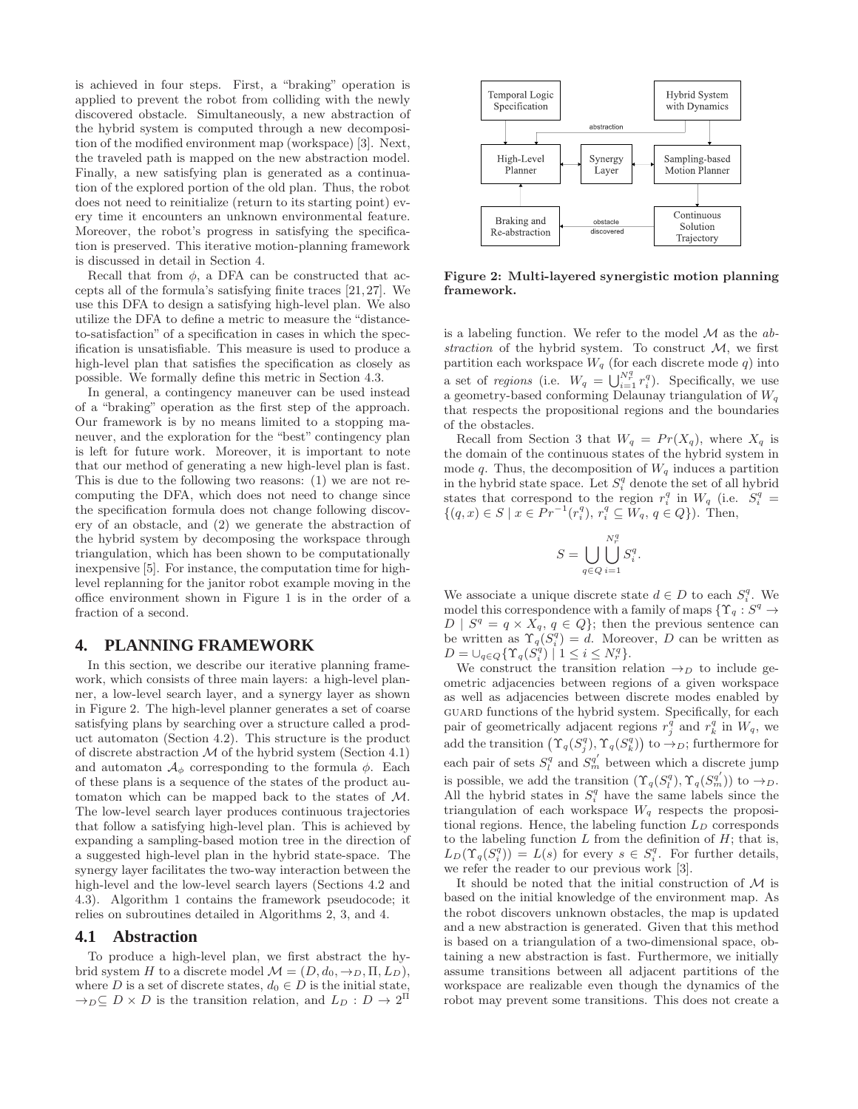is achieved in four steps. First, a "braking" operation is applied to prevent the robot from colliding with the newly discovered obstacle. Simultaneously, a new abstraction of the hybrid system is computed through a new decomposition of the modified environment map (workspace) [3]. Next, the traveled path is mapped on the new abstraction model. Finally, a new satisfying plan is generated as a continuation of the explored portion of the old plan. Thus, the robot does not need to reinitialize (return to its starting point) every time it encounters an unknown environmental feature. Moreover, the robot's progress in satisfying the specification is preserved. This iterative motion-planning framework is discussed in detail in Section 4.

Recall that from  $\phi$ , a DFA can be constructed that accepts all of the formula's satisfying finite traces [21, 27]. We use this DFA to design a satisfying high-level plan. We also utilize the DFA to define a metric to measure the "distanceto-satisfaction" of a specification in cases in which the specification is unsatisfiable. This measure is used to produce a high-level plan that satisfies the specification as closely as possible. We formally define this metric in Section 4.3.

In general, a contingency maneuver can be used instead of a "braking" operation as the first step of the approach. Our framework is by no means limited to a stopping maneuver, and the exploration for the "best" contingency plan is left for future work. Moreover, it is important to note that our method of generating a new high-level plan is fast. This is due to the following two reasons: (1) we are not recomputing the DFA, which does not need to change since the specification formula does not change following discovery of an obstacle, and (2) we generate the abstraction of the hybrid system by decomposing the workspace through triangulation, which has been shown to be computationally inexpensive [5]. For instance, the computation time for highlevel replanning for the janitor robot example moving in the office environment shown in Figure 1 is in the order of a fraction of a second.

# **4. PLANNING FRAMEWORK**

In this section, we describe our iterative planning framework, which consists of three main layers: a high-level planner, a low-level search layer, and a synergy layer as shown in Figure 2. The high-level planner generates a set of coarse satisfying plans by searching over a structure called a product automaton (Section 4.2). This structure is the product of discrete abstraction  $M$  of the hybrid system (Section 4.1) and automaton  $\mathcal{A}_{\phi}$  corresponding to the formula  $\phi$ . Each of these plans is a sequence of the states of the product automaton which can be mapped back to the states of M. The low-level search layer produces continuous trajectories that follow a satisfying high-level plan. This is achieved by expanding a sampling-based motion tree in the direction of a suggested high-level plan in the hybrid state-space. The synergy layer facilitates the two-way interaction between the high-level and the low-level search layers (Sections 4.2 and 4.3). Algorithm 1 contains the framework pseudocode; it relies on subroutines detailed in Algorithms 2, 3, and 4.

#### **4.1 Abstraction**

To produce a high-level plan, we first abstract the hybrid system H to a discrete model  $\mathcal{M} = (D, d_0, \rightarrow_D, \Pi, L_D)$ , where D is a set of discrete states,  $d_0 \in D$  is the initial state,  $\rightarrow_D \subseteq D \times D$  is the transition relation, and  $L_D: D \to 2^{\Pi}$ 



Figure 2: Multi-layered synergistic motion planning framework.

is a labeling function. We refer to the model  $\mathcal M$  as the abstraction of the hybrid system. To construct  $M$ , we first partition each workspace  $W_q$  (for each discrete mode q) into a set of regions (i.e.  $W_q = \bigcup_{i=1}^{N_q^q} r_i^q$ ). Specifically, we use a geometry-based conforming Delaunay triangulation of  $W_q$ that respects the propositional regions and the boundaries of the obstacles.

Recall from Section 3 that  $W_q = Pr(X_q)$ , where  $X_q$  is the domain of the continuous states of the hybrid system in mode q. Thus, the decomposition of  $W_q$  induces a partition in the hybrid state space. Let  $S_i^q$  denote the set of all hybrid states that correspond to the region  $r_i^q$  in  $W_q$  (i.e.  $S_i^q$  =  $\{(q, x) \in S \mid x \in Pr^{-1}(r_i^q), r_i^q \subseteq W_q, q \in Q\}$ ). Then,

$$
S = \bigcup_{q \in Q} \bigcup_{i=1}^{N_r^q} S_i^q.
$$

We associate a unique discrete state  $d \in D$  to each  $S_i^q$ . We model this correspondence with a family of maps  $\{ \Upsilon_q : S^q \to \mathbb{R}^n \}$  $D | S^q = q \times X_q, q \in Q$ ; then the previous sentence can be written as  $\Upsilon_q(S_i^q) = d$ . Moreover, D can be written as  $D = \bigcup_{q \in Q} \{ \Upsilon_q(S_i^q) \mid 1 \leq i \leq N_r^q \}.$ 

We construct the transition relation  $\rightarrow_D$  to include geometric adjacencies between regions of a given workspace as well as adjacencies between discrete modes enabled by guard functions of the hybrid system. Specifically, for each pair of geometrically adjacent regions  $r_j^q$  and  $r_k^q$  in  $W_q$ , we add the transition  $(\Upsilon_q(S_j^q), \Upsilon_q(S_k^q))$  to  $\rightarrow_D$ ; furthermore for each pair of sets  $S_l^q$  and  $S_m^{q'}$  between which a discrete jump is possible, we add the transition  $(\Upsilon_q(S_l^q), \Upsilon_q(S_m^{q'}))$  to  $\rightarrow_D$ . All the hybrid states in  $S_i^q$  have the same labels since the triangulation of each workspace  $W_q$  respects the propositional regions. Hence, the labeling function  $L_D$  corresponds to the labeling function  $L$  from the definition of  $H$ ; that is,  $L_D(\Upsilon_q(S_i^q)) = L(s)$  for every  $s \in S_i^q$ . For further details, we refer the reader to our previous work [3].

It should be noted that the initial construction of  $M$  is based on the initial knowledge of the environment map. As the robot discovers unknown obstacles, the map is updated and a new abstraction is generated. Given that this method is based on a triangulation of a two-dimensional space, obtaining a new abstraction is fast. Furthermore, we initially assume transitions between all adjacent partitions of the workspace are realizable even though the dynamics of the robot may prevent some transitions. This does not create a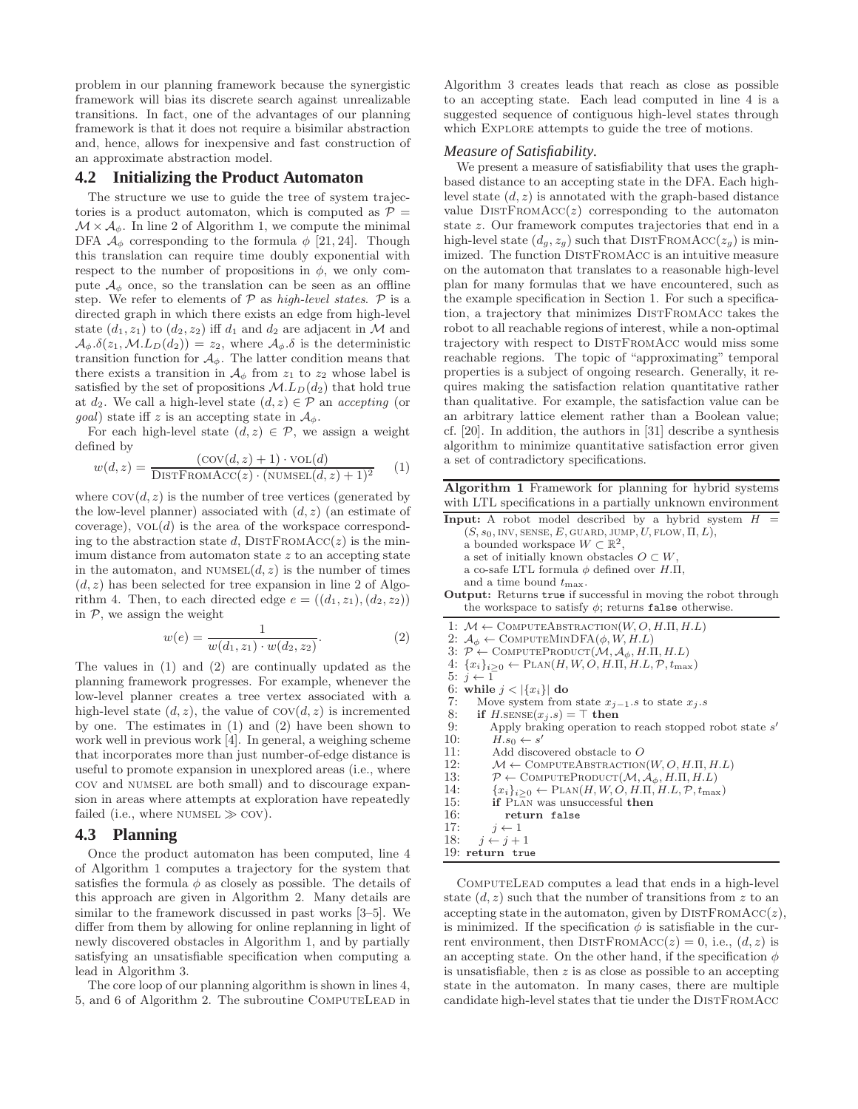problem in our planning framework because the synergistic framework will bias its discrete search against unrealizable transitions. In fact, one of the advantages of our planning framework is that it does not require a bisimilar abstraction and, hence, allows for inexpensive and fast construction of an approximate abstraction model.

## **4.2 Initializing the Product Automaton**

The structure we use to guide the tree of system trajectories is a product automaton, which is computed as  $P =$  $\mathcal{M} \times \mathcal{A}_{\phi}$ . In line 2 of Algorithm 1, we compute the minimal DFA  $\mathcal{A}_{\phi}$  corresponding to the formula  $\phi$  [21, 24]. Though this translation can require time doubly exponential with respect to the number of propositions in  $\phi$ , we only compute  $\mathcal{A}_{\phi}$  once, so the translation can be seen as an offline step. We refer to elements of  $P$  as high-level states.  $P$  is a directed graph in which there exists an edge from high-level state  $(d_1, z_1)$  to  $(d_2, z_2)$  iff  $d_1$  and  $d_2$  are adjacent in M and  $\mathcal{A}_{\phi}. \delta(z_1, \mathcal{M}.L_D(d_2)) = z_2$ , where  $\mathcal{A}_{\phi}. \delta$  is the deterministic transition function for  $A_{\phi}$ . The latter condition means that there exists a transition in  $\mathcal{A}_{\phi}$  from  $z_1$  to  $z_2$  whose label is satisfied by the set of propositions  $M.L_D(d_2)$  that hold true at  $d_2$ . We call a high-level state  $(d, z) \in \mathcal{P}$  an accepting (or *goal*) state iff z is an accepting state in  $A_{\phi}$ .

For each high-level state  $(d, z) \in \mathcal{P}$ , we assign a weight defined by

$$
w(d, z) = \frac{(\text{cov}(d, z) + 1) \cdot \text{vol}(d)}{\text{DISTFromAcc}(z) \cdot (\text{NUMBER}(d, z) + 1)^2}
$$
(1)

where  $cov(d, z)$  is the number of tree vertices (generated by the low-level planner) associated with  $(d, z)$  (an estimate of coverage),  $vol(d)$  is the area of the workspace corresponding to the abstraction state d,  $\text{DISTFromAcc}(z)$  is the minimum distance from automaton state  $z$  to an accepting state in the automaton, and  $\textsc{numset}(d, z)$  is the number of times  $(d, z)$  has been selected for tree expansion in line 2 of Algorithm 4. Then, to each directed edge  $e = ((d_1, z_1), (d_2, z_2))$ in  $P$ , we assign the weight

$$
w(e) = \frac{1}{w(d_1, z_1) \cdot w(d_2, z_2)}.\t(2)
$$

The values in (1) and (2) are continually updated as the planning framework progresses. For example, whenever the low-level planner creates a tree vertex associated with a high-level state  $(d, z)$ , the value of  $cov(d, z)$  is incremented by one. The estimates in (1) and (2) have been shown to work well in previous work [4]. In general, a weighing scheme that incorporates more than just number-of-edge distance is useful to promote expansion in unexplored areas (i.e., where cov and numsel are both small) and to discourage expansion in areas where attempts at exploration have repeatedly failed (i.e., where  $NUMSEL \gg \text{COV}$ ).

## **4.3 Planning**

Once the product automaton has been computed, line 4 of Algorithm 1 computes a trajectory for the system that satisfies the formula  $\phi$  as closely as possible. The details of this approach are given in Algorithm 2. Many details are similar to the framework discussed in past works [3–5]. We differ from them by allowing for online replanning in light of newly discovered obstacles in Algorithm 1, and by partially satisfying an unsatisfiable specification when computing a lead in Algorithm 3.

The core loop of our planning algorithm is shown in lines 4, 5, and 6 of Algorithm 2. The subroutine COMPUTELEAD in Algorithm 3 creates leads that reach as close as possible to an accepting state. Each lead computed in line 4 is a suggested sequence of contiguous high-level states through which Explore attempts to guide the tree of motions.

#### *Measure of Satisfiability.*

We present a measure of satisfiability that uses the graphbased distance to an accepting state in the DFA. Each highlevel state  $(d, z)$  is annotated with the graph-based distance value  $DISTFromACC(z)$  corresponding to the automaton state z. Our framework computes trajectories that end in a high-level state  $(d_g, z_g)$  such that DISTFROMACC( $z_g$ ) is minimized. The function DISTFROMACC is an intuitive measure on the automaton that translates to a reasonable high-level plan for many formulas that we have encountered, such as the example specification in Section 1. For such a specification, a trajectory that minimizes DISTFROMACC takes the robot to all reachable regions of interest, while a non-optimal trajectory with respect to DISTFROMACC would miss some reachable regions. The topic of "approximating" temporal properties is a subject of ongoing research. Generally, it requires making the satisfaction relation quantitative rather than qualitative. For example, the satisfaction value can be an arbitrary lattice element rather than a Boolean value; cf. [20]. In addition, the authors in [31] describe a synthesis algorithm to minimize quantitative satisfaction error given a set of contradictory specifications.

Algorithm 1 Framework for planning for hybrid systems with LTL specifications in a partially unknown environment  $I_n$  robot model described by a hybrid system

| <b>Input:</b> A robot model described by a hyprid system $H =$                                 |
|------------------------------------------------------------------------------------------------|
| $(S, s_0, \text{INV}, \text{SENSE}, E, \text{GUARD}, \text{JUMP}, U, \text{FLOW}, \Pi, L),$    |
| a bounded workspace $W \subset \mathbb{R}^2$ ,                                                 |
| a set of initially known obstacles $O\subset W$ ,                                              |
| a co-safe LTL formula $\phi$ defined over H.II,                                                |
| and a time bound $t_{\text{max}}$ .                                                            |
|                                                                                                |
| <b>Output:</b> Returns true if successful in moving the robot through                          |
| the workspace to satisfy $\phi$ ; returns false otherwise.                                     |
| 1: $M \leftarrow$ COMPUTEABSTRACTION(W, O, H.II, H.L)                                          |
| 2: $A_{\phi} \leftarrow$ COMPUTEMINDFA $(\phi, W, H.L)$                                        |
| 3: $P \leftarrow \text{COMPUTEPRODUCT}(\mathcal{M}, \mathcal{A}_{\phi}, H.\Pi, H.L)$           |
| 4: $\{x_i\}_{i>0} \leftarrow \text{PLAN}(H, W, O, H, \Pi, H, L, \mathcal{P}, t_{\text{max}})$  |
| $5: i \leftarrow 1$                                                                            |
|                                                                                                |
| 6: while $j <  \{x_i\} $ do                                                                    |
| 7:<br>Move system from state $x_{j-1}.s$ to state $x_j.s$                                      |
| 8:<br>if $H.\text{sENSE}(x_j.s) = \top$ then                                                   |
| 9:<br>Apply braking operation to reach stopped robot state s'                                  |
| 10:<br>$H.s_0 \leftarrow s'$                                                                   |
| 11:<br>Add discovered obstacle to O                                                            |
| 12:<br>$\mathcal{M} \leftarrow$ COMPUTEABSTRACTION(W, O, H.II, H.L)                            |
| 13:<br>$\mathcal{P} \leftarrow$ COMPUTEPRODUCT $(\mathcal{M}, \mathcal{A}_{\phi}, H.\Pi, H.L)$ |
| 14:<br>${x_i}_{i>0} \leftarrow \text{PLAN}(H, W, O, H, \Pi, H, L, P, t_{\text{max}})$          |
| 15:<br><b>if</b> PLAN was unsuccessful <b>then</b>                                             |
|                                                                                                |

- 16: return false<br>17:  $i \leftarrow 1$
- 17:  $j \leftarrow 1$ <br>18:  $i \leftarrow i +$
- $j \leftarrow j + 1$
- 19: return true

ComputeLead computes a lead that ends in a high-level state  $(d, z)$  such that the number of transitions from z to an accepting state in the automaton, given by  $\text{DISTFromAcc}(z)$ , is minimized. If the specification  $\phi$  is satisfiable in the current environment, then DISTFROMACC( $z$ ) = 0, i.e.,  $(d, z)$  is an accepting state. On the other hand, if the specification  $\phi$ is unsatisfiable, then z is as close as possible to an accepting state in the automaton. In many cases, there are multiple candidate high-level states that tie under the DISTFROMACC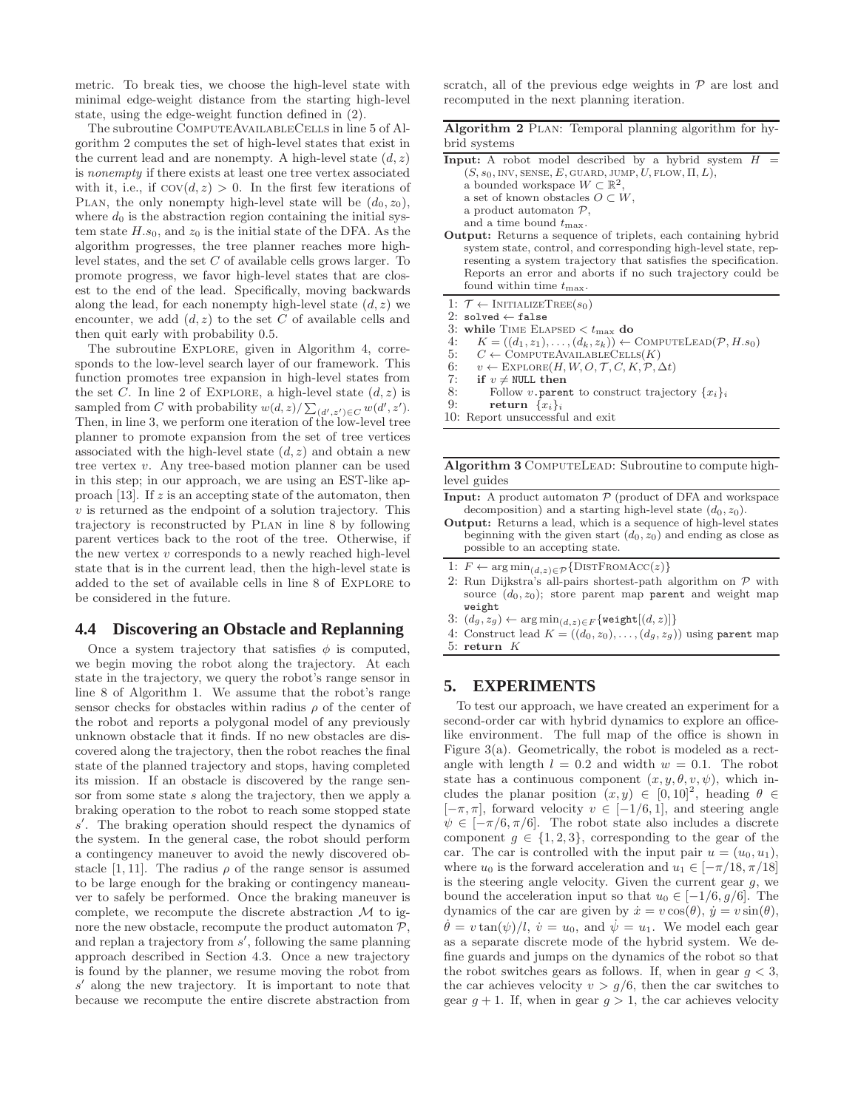metric. To break ties, we choose the high-level state with minimal edge-weight distance from the starting high-level state, using the edge-weight function defined in (2).

The subroutine COMPUTEAVAILABLECELLS in line 5 of Algorithm 2 computes the set of high-level states that exist in the current lead and are nonempty. A high-level state  $(d, z)$ is nonempty if there exists at least one tree vertex associated with it, i.e., if  $cov(d, z) > 0$ . In the first few iterations of PLAN, the only nonempty high-level state will be  $(d_0, z_0)$ , where  $d_0$  is the abstraction region containing the initial system state  $H.s_0$ , and  $z_0$  is the initial state of the DFA. As the algorithm progresses, the tree planner reaches more highlevel states, and the set C of available cells grows larger. To promote progress, we favor high-level states that are closest to the end of the lead. Specifically, moving backwards along the lead, for each nonempty high-level state  $(d, z)$  we encounter, we add  $(d, z)$  to the set C of available cells and then quit early with probability 0.5.

The subroutine EXPLORE, given in Algorithm 4, corresponds to the low-level search layer of our framework. This function promotes tree expansion in high-level states from the set C. In line 2 of EXPLORE, a high-level state  $(d, z)$  is sampled from C with probability  $w(d, z) / \sum_{(d', z') \in C} w(d', z').$ Then, in line 3, we perform one iteration of the low-level tree planner to promote expansion from the set of tree vertices associated with the high-level state  $(d, z)$  and obtain a new tree vertex v. Any tree-based motion planner can be used in this step; in our approach, we are using an EST-like approach [13]. If  $z$  is an accepting state of the automaton, then  $v$  is returned as the endpoint of a solution trajectory. This trajectory is reconstructed by Plan in line 8 by following parent vertices back to the root of the tree. Otherwise, if the new vertex  $v$  corresponds to a newly reached high-level state that is in the current lead, then the high-level state is added to the set of available cells in line 8 of Explore to be considered in the future.

## **4.4 Discovering an Obstacle and Replanning**

Once a system trajectory that satisfies  $\phi$  is computed, we begin moving the robot along the trajectory. At each state in the trajectory, we query the robot's range sensor in line 8 of Algorithm 1. We assume that the robot's range sensor checks for obstacles within radius  $\rho$  of the center of the robot and reports a polygonal model of any previously unknown obstacle that it finds. If no new obstacles are discovered along the trajectory, then the robot reaches the final state of the planned trajectory and stops, having completed its mission. If an obstacle is discovered by the range sensor from some state s along the trajectory, then we apply a braking operation to the robot to reach some stopped state s ′ . The braking operation should respect the dynamics of the system. In the general case, the robot should perform a contingency maneuver to avoid the newly discovered obstacle [1, 11]. The radius  $\rho$  of the range sensor is assumed to be large enough for the braking or contingency maneauver to safely be performed. Once the braking maneuver is complete, we recompute the discrete abstraction  $\mathcal M$  to ignore the new obstacle, recompute the product automaton  $P$ , and replan a trajectory from s ′ , following the same planning approach described in Section 4.3. Once a new trajectory is found by the planner, we resume moving the robot from s ′ along the new trajectory. It is important to note that because we recompute the entire discrete abstraction from

scratch, all of the previous edge weights in  $P$  are lost and recomputed in the next planning iteration.

| Algorithm 2 PLAN: Temporal planning algorithm for hy- |  |  |  |
|-------------------------------------------------------|--|--|--|
| brid systems                                          |  |  |  |

| <b>Input:</b> A robot model described by a hybrid system H                                  |
|---------------------------------------------------------------------------------------------|
| $(S, s_0, \text{INV}, \text{SENSE}, E, \text{GUARD}, \text{JUMP}, U, \text{FLOW}, \Pi, L),$ |
| a bounded workspace $W \subset \mathbb{R}^2$ ,                                              |
| a set of known obstacles $O \subset W$ .                                                    |
| a product automaton $P$ ,                                                                   |
| and a time bound $t_{\text{max}}$ .                                                         |
| <b>Output:</b> Returns a sequence of triplets, each containing hybrid                       |
| system state, control, and corresponding high-level state, rep-                             |
| resenting a system trajectory that satisfies the specification.                             |
| Reports an error and aborts if no such trajectory could be                                  |

- found within time  $t_{\text{max}}$ . 1:  $\mathcal{T} \leftarrow \text{INITIALIZETree}(s_0)$
- 2: solved  $\leftarrow$  false
- 3: while TIME ELAPSED  $< t_{\text{max}}$  do
- 4:  $K = ((d_1, z_1), \ldots, (d_k, z_k)) \leftarrow \text{COMPUTELEAD}(\mathcal{P}, H.s_0)$ <br>5:  $C \leftarrow \text{COMPUTEAVAILABLECELLS}(K)$
- 5:  $C \leftarrow \text{COMPUTEAVAILABLECELLS}(K)$ <br>6:  $v \leftarrow \text{EXPLORE}(H, W, O, T, C, K, P)$
- 6:  $v \leftarrow \text{EXPLORE}(H, W, O, T, C, K, P, \Delta t)$ <br>7: if  $v \neq \text{NULL}$  then
- 7: if  $v \neq \text{NULL}$  then<br>8: Follow v.paren
- 8: Follow v.parent to construct trajectory  $\{x_i\}_i$ <br>9: return  $\{x_i\}_i$
- return  $\{x_i\}_i$
- 10: Report unsuccessful and exit

Algorithm 3 ComputeLead: Subroutine to compute highlevel guides

- **Input:** A product automaton  $P$  (product of DFA and workspace decomposition) and a starting high-level state  $(d_0, z_0)$ .
- Output: Returns a lead, which is a sequence of high-level states beginning with the given start  $(d_0, z_0)$  and ending as close as possible to an accepting state.
- 1:  $F \leftarrow \arg \min_{(d,z) \in \mathcal{P}} \{ \text{DISTFROMACC}(z) \}$
- 2: Run Dijkstra's all-pairs shortest-path algorithm on  $P$  with source  $(d_0, z_0)$ ; store parent map parent and weight map weight
- 3:  $(d_g, z_g) \leftarrow \arg \min_{(d,z) \in F} {\text{weight}[(d,z)]}$
- 4: Construct lead  $K = ((d_0, z_0), \ldots, (d_g, z_g))$  using parent map
- 5: return K

# **5. EXPERIMENTS**

To test our approach, we have created an experiment for a second-order car with hybrid dynamics to explore an officelike environment. The full map of the office is shown in Figure 3(a). Geometrically, the robot is modeled as a rectangle with length  $l = 0.2$  and width  $w = 0.1$ . The robot state has a continuous component  $(x, y, \theta, v, \psi)$ , which includes the planar position  $(x, y) \in [0, 10]^2$ , heading  $\theta \in$  $[-\pi, \pi]$ , forward velocity  $v \in [-1/6, 1]$ , and steering angle  $\psi \in [-\pi/6, \pi/6]$ . The robot state also includes a discrete component  $g \in \{1, 2, 3\}$ , corresponding to the gear of the car. The car is controlled with the input pair  $u = (u_0, u_1)$ , where  $u_0$  is the forward acceleration and  $u_1 \in [-\pi/18, \pi/18]$ is the steering angle velocity. Given the current gear  $g$ , we bound the acceleration input so that  $u_0 \in [-1/6, g/6]$ . The dynamics of the car are given by  $\dot{x} = v \cos(\theta), \dot{y} = v \sin(\theta),$  $\theta = v \tan(\psi)/l$ ,  $\dot{v} = u_0$ , and  $\psi = u_1$ . We model each gear as a separate discrete mode of the hybrid system. We define guards and jumps on the dynamics of the robot so that the robot switches gears as follows. If, when in gear  $g < 3$ , the car achieves velocity  $v > g/6$ , then the car switches to gear  $g + 1$ . If, when in gear  $g > 1$ , the car achieves velocity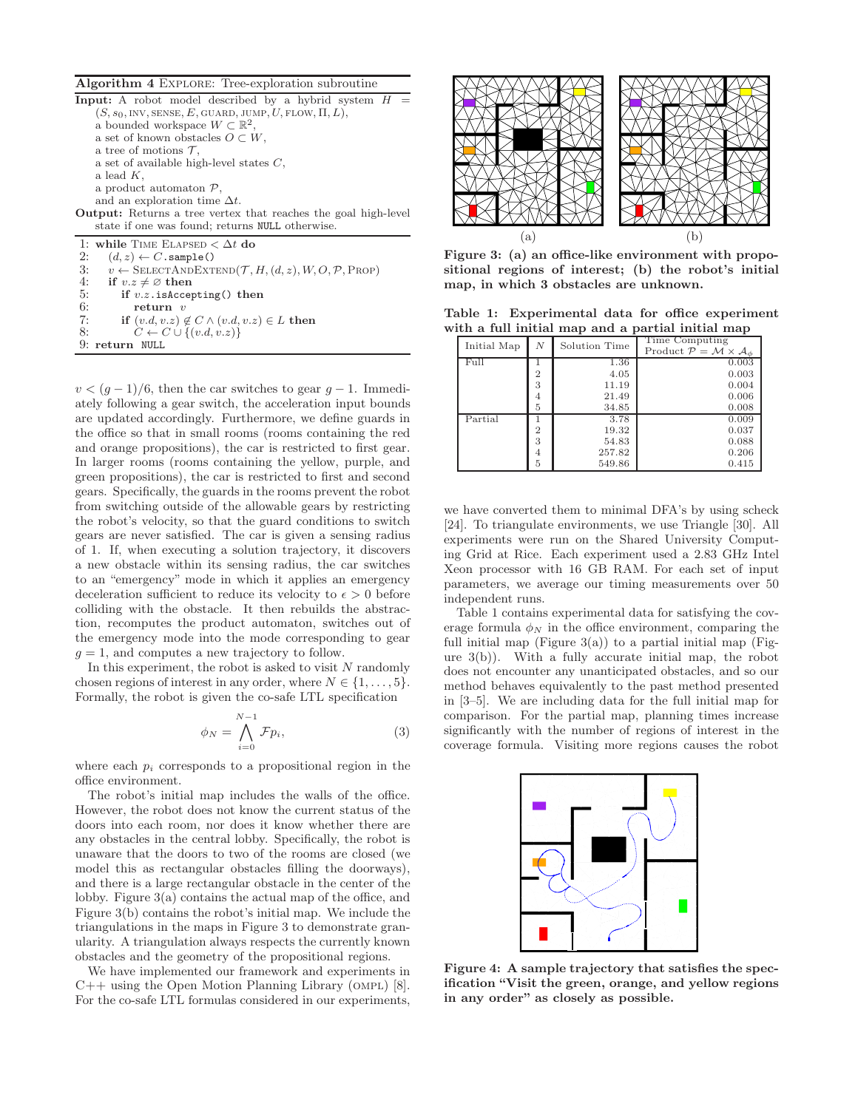#### Algorithm 4 EXPLORE: Tree-exploration subroutine

**Input:** A robot model described by a hybrid system  $H$  $(S, s_0, \text{INV}, \text{SENSE}, E, \text{GUARD}, \text{JUMP}, U, \text{FLOW}, \Pi, L),$ a bounded workspace  $W \subset \mathbb{R}^2$ , a set of known obstacles  $O \subset W$ , a tree of motions  $\mathcal{T}$ , a set of available high-level states C, a lead  $K$ , a product automaton P, and an exploration time  $\Delta t$ . Output: Returns a tree vertex that reaches the goal high-level state if one was found; returns NULL otherwise. 1: while TIME ELAPSED <  $\Delta t$ do 2:  $(d, z) \leftarrow C.\text{sample}()$ <br>3:  $v \leftarrow \text{SELECTANDEXT}$ 3:  $v \leftarrow \text{SELECTANDEXTEND}(\mathcal{T}, H, (d, z), W, O, \mathcal{P}, \text{PROP})$ <br>4. if  $v, z \neq \emptyset$  then 4: if  $v.z \neq \emptyset$  then<br>5: if  $v.z$  is Accep 5: if  $v.z$ . is Accepting() then<br>6: return  $v$ 6: return v<br>7: if  $(v,d, v, z)$ 7: if  $(v.d, v.z) \notin C \land (v.d, v.z) \in L$  then<br>8:  $C \leftarrow C \cup \{(v.d, v.z)\}$  $C \leftarrow C \cup \{(v.d, v.z)\}$ 9: return NULL

 $v < (g-1)/6$ , then the car switches to gear  $g-1$ . Immediately following a gear switch, the acceleration input bounds are updated accordingly. Furthermore, we define guards in the office so that in small rooms (rooms containing the red and orange propositions), the car is restricted to first gear. In larger rooms (rooms containing the yellow, purple, and green propositions), the car is restricted to first and second gears. Specifically, the guards in the rooms prevent the robot from switching outside of the allowable gears by restricting the robot's velocity, so that the guard conditions to switch gears are never satisfied. The car is given a sensing radius of 1. If, when executing a solution trajectory, it discovers a new obstacle within its sensing radius, the car switches to an "emergency" mode in which it applies an emergency deceleration sufficient to reduce its velocity to  $\epsilon > 0$  before colliding with the obstacle. It then rebuilds the abstraction, recomputes the product automaton, switches out of the emergency mode into the mode corresponding to gear  $g = 1$ , and computes a new trajectory to follow.

In this experiment, the robot is asked to visit  $N$  randomly chosen regions of interest in any order, where  $N \in \{1, \ldots, 5\}.$ Formally, the robot is given the co-safe LTL specification

$$
\phi_N = \bigwedge_{i=0}^{N-1} \mathcal{F} p_i,\tag{3}
$$

where each  $p_i$  corresponds to a propositional region in the office environment.

The robot's initial map includes the walls of the office. However, the robot does not know the current status of the doors into each room, nor does it know whether there are any obstacles in the central lobby. Specifically, the robot is unaware that the doors to two of the rooms are closed (we model this as rectangular obstacles filling the doorways), and there is a large rectangular obstacle in the center of the lobby. Figure 3(a) contains the actual map of the office, and Figure 3(b) contains the robot's initial map. We include the triangulations in the maps in Figure 3 to demonstrate granularity. A triangulation always respects the currently known obstacles and the geometry of the propositional regions.

We have implemented our framework and experiments in  $C++$  using the Open Motion Planning Library (OMPL) [8]. For the co-safe LTL formulas considered in our experiments,



Figure 3: (a) an office-like environment with propositional regions of interest; (b) the robot's initial map, in which 3 obstacles are unknown.

Table 1: Experimental data for office experiment with a full initial map and a partial initial map

| Initial Map | N              | Solution Time | Time Computing<br>Product $P = M \times A_{\phi}$ |
|-------------|----------------|---------------|---------------------------------------------------|
| Full        |                | 1.36          | 0.003                                             |
|             | $\overline{2}$ | 4.05          | 0.003                                             |
|             | 3              | 11.19         | 0.004                                             |
|             | 4              | 21.49         | 0.006                                             |
|             | 5              | 34.85         | 0.008                                             |
| Partial     |                | 3.78          | 0.009                                             |
|             | $\overline{2}$ | 19.32         | 0.037                                             |
|             | 3              | 54.83         | 0.088                                             |
|             | 4              | 257.82        | 0.206                                             |
|             | 5              | 549.86        | 0.415                                             |

we have converted them to minimal DFA's by using scheck [24]. To triangulate environments, we use Triangle [30]. All experiments were run on the Shared University Computing Grid at Rice. Each experiment used a 2.83 GHz Intel Xeon processor with 16 GB RAM. For each set of input parameters, we average our timing measurements over 50 independent runs.

Table 1 contains experimental data for satisfying the coverage formula  $\phi_N$  in the office environment, comparing the full initial map (Figure 3(a)) to a partial initial map (Figure 3(b)). With a fully accurate initial map, the robot does not encounter any unanticipated obstacles, and so our method behaves equivalently to the past method presented in [3–5]. We are including data for the full initial map for comparison. For the partial map, planning times increase significantly with the number of regions of interest in the coverage formula. Visiting more regions causes the robot



Figure 4: A sample trajectory that satisfies the specification "Visit the green, orange, and yellow regions in any order" as closely as possible.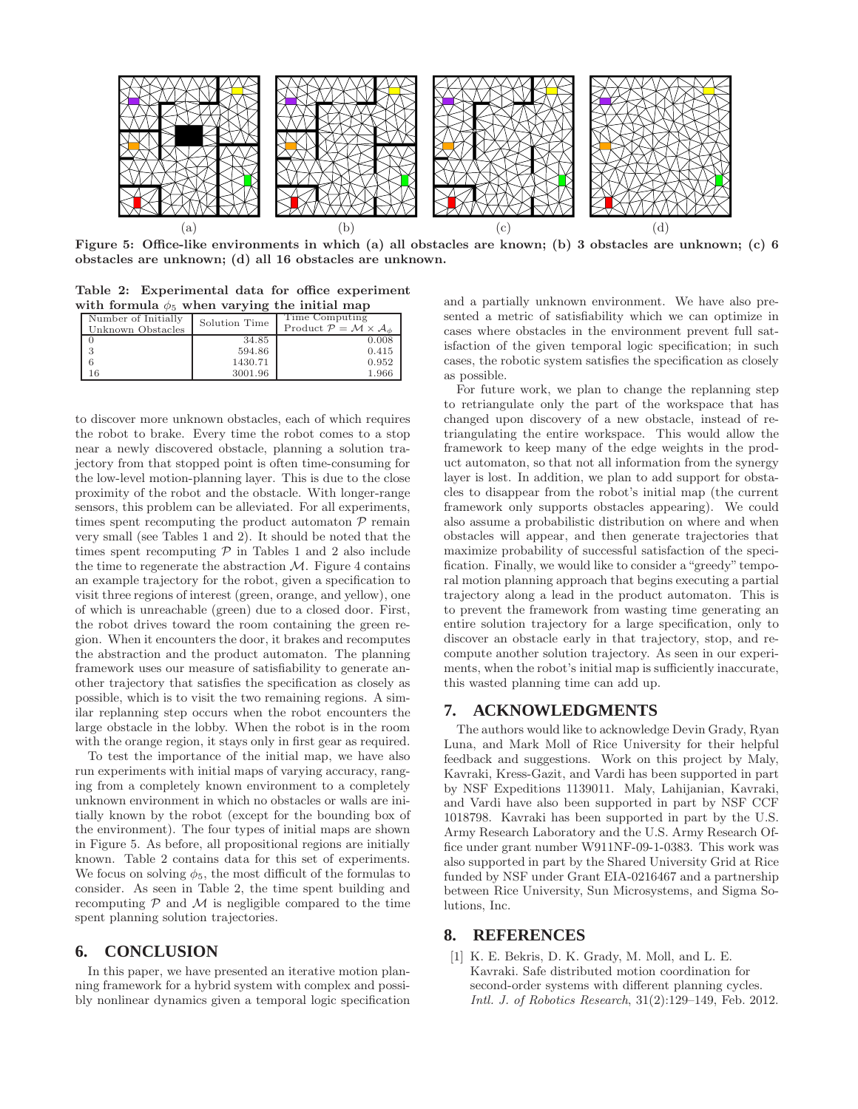

Figure 5: Office-like environments in which (a) all obstacles are known; (b) 3 obstacles are unknown; (c) 6 obstacles are unknown; (d) all 16 obstacles are unknown.

Table 2: Experimental data for office experiment with formula  $\phi_5$  when varying the initial map

| Number of Initially<br>Unknown Obstacles | Solution Time | Time Computing<br>Product $\mathcal{P} = \mathcal{M} \times \mathcal{A}_{\phi}$ |
|------------------------------------------|---------------|---------------------------------------------------------------------------------|
|                                          | 34.85         | 0.008                                                                           |
|                                          | 594.86        | 0.415                                                                           |
|                                          | 1430.71       | 0.952                                                                           |
| 16                                       | 3001.96       | 1.966                                                                           |

to discover more unknown obstacles, each of which requires the robot to brake. Every time the robot comes to a stop near a newly discovered obstacle, planning a solution trajectory from that stopped point is often time-consuming for the low-level motion-planning layer. This is due to the close proximity of the robot and the obstacle. With longer-range sensors, this problem can be alleviated. For all experiments, times spent recomputing the product automaton  $P$  remain very small (see Tables 1 and 2). It should be noted that the times spent recomputing  $P$  in Tables 1 and 2 also include the time to regenerate the abstraction  $M$ . Figure 4 contains an example trajectory for the robot, given a specification to visit three regions of interest (green, orange, and yellow), one of which is unreachable (green) due to a closed door. First, the robot drives toward the room containing the green region. When it encounters the door, it brakes and recomputes the abstraction and the product automaton. The planning framework uses our measure of satisfiability to generate another trajectory that satisfies the specification as closely as possible, which is to visit the two remaining regions. A similar replanning step occurs when the robot encounters the large obstacle in the lobby. When the robot is in the room with the orange region, it stays only in first gear as required.

To test the importance of the initial map, we have also run experiments with initial maps of varying accuracy, ranging from a completely known environment to a completely unknown environment in which no obstacles or walls are initially known by the robot (except for the bounding box of the environment). The four types of initial maps are shown in Figure 5. As before, all propositional regions are initially known. Table 2 contains data for this set of experiments. We focus on solving  $\phi_5$ , the most difficult of the formulas to consider. As seen in Table 2, the time spent building and recomputing  $P$  and  $M$  is negligible compared to the time spent planning solution trajectories.

### **6. CONCLUSION**

In this paper, we have presented an iterative motion planning framework for a hybrid system with complex and possibly nonlinear dynamics given a temporal logic specification and a partially unknown environment. We have also presented a metric of satisfiability which we can optimize in cases where obstacles in the environment prevent full satisfaction of the given temporal logic specification; in such cases, the robotic system satisfies the specification as closely as possible.

For future work, we plan to change the replanning step to retriangulate only the part of the workspace that has changed upon discovery of a new obstacle, instead of retriangulating the entire workspace. This would allow the framework to keep many of the edge weights in the product automaton, so that not all information from the synergy layer is lost. In addition, we plan to add support for obstacles to disappear from the robot's initial map (the current framework only supports obstacles appearing). We could also assume a probabilistic distribution on where and when obstacles will appear, and then generate trajectories that maximize probability of successful satisfaction of the specification. Finally, we would like to consider a "greedy" temporal motion planning approach that begins executing a partial trajectory along a lead in the product automaton. This is to prevent the framework from wasting time generating an entire solution trajectory for a large specification, only to discover an obstacle early in that trajectory, stop, and recompute another solution trajectory. As seen in our experiments, when the robot's initial map is sufficiently inaccurate, this wasted planning time can add up.

# **7. ACKNOWLEDGMENTS**

The authors would like to acknowledge Devin Grady, Ryan Luna, and Mark Moll of Rice University for their helpful feedback and suggestions. Work on this project by Maly, Kavraki, Kress-Gazit, and Vardi has been supported in part by NSF Expeditions 1139011. Maly, Lahijanian, Kavraki, and Vardi have also been supported in part by NSF CCF 1018798. Kavraki has been supported in part by the U.S. Army Research Laboratory and the U.S. Army Research Office under grant number W911NF-09-1-0383. This work was also supported in part by the Shared University Grid at Rice funded by NSF under Grant EIA-0216467 and a partnership between Rice University, Sun Microsystems, and Sigma Solutions, Inc.

# **8. REFERENCES**

[1] K. E. Bekris, D. K. Grady, M. Moll, and L. E. Kavraki. Safe distributed motion coordination for second-order systems with different planning cycles. Intl. J. of Robotics Research, 31(2):129–149, Feb. 2012.